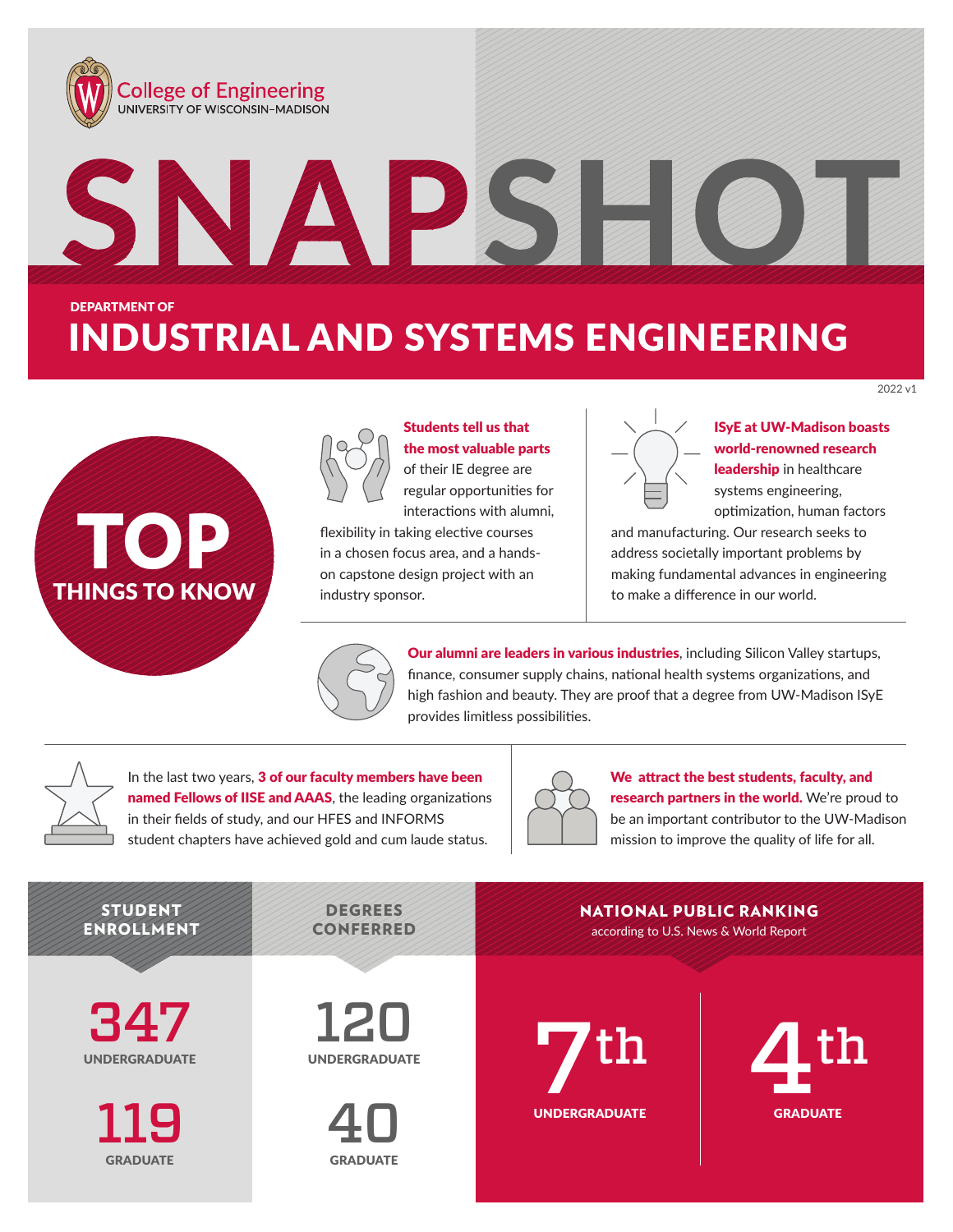

# TOP<sup>I</sup> THINGS TO KNOW



# Students tell us that the most valuable parts of their IE degree are regular opportunities for

interactions with alumni, flexibility in taking elective courses in a chosen focus area, and a handson capstone design project with an industry sponsor.

## ISyE at UW-Madison boasts world-renowned research leadership in healthcare systems engineering, optimization, human factors

2022 v1

and manufacturing. Our research seeks to address societally important problems by making fundamental advances in engineering to make a difference in our world.



Our alumni are leaders in various industries, including Silicon Valley startups, finance, consumer supply chains, national health systems organizations, and high fashion and beauty. They are proof that a degree from UW-Madison ISyE provides limitless possibilities.

In the last two years, 3 of our faculty members have been named Fellows of IISE and AAAS, the leading organizations in their fields of study, and our HFES and INFORMS student chapters have achieved gold and cum laude status.



We attract the best students, faculty, and research partners in the world. We're proud to be an important contributor to the UW-Madison mission to improve the quality of life for all.

#### STUDENT ENROLLMENT **DEGREES** CONFERRED 120 UNDERGRADUATE 347 UNDERGRADUATE 40 **GRADUATE** 119 **GRADUATE** according to U.S. News & World Report NATIONAL PUBLIC RANKING **4 GRADUATE**  $\mathbf{7}$ th  $\mathbf{4}$ th UNDERGRADUATE th